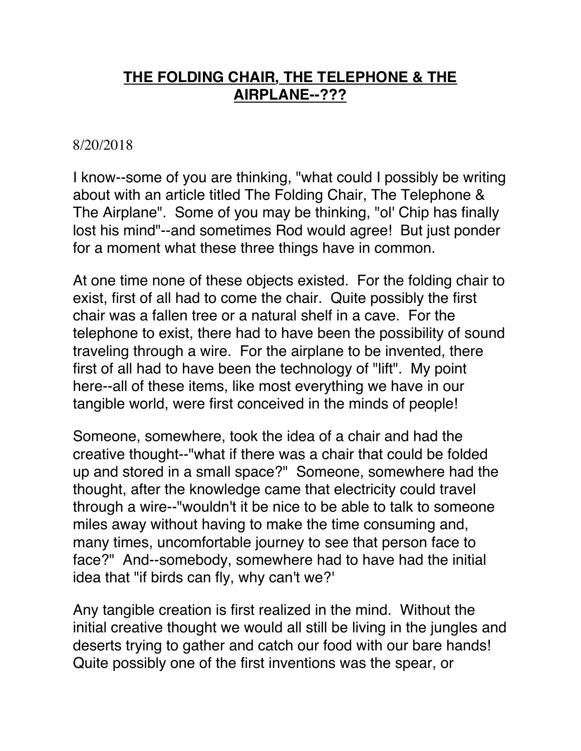## **THE FOLDING CHAIR, THE TELEPHONE & THE AIRPLANE--???**

## 8/20/2018

I know--some of you are thinking, "what could I possibly be writing about with an article titled The Folding Chair, The Telephone & The Airplane". Some of you may be thinking, "ol' Chip has finally lost his mind"--and sometimes Rod would agree! But just ponder for a moment what these three things have in common.

At one time none of these objects existed. For the folding chair to exist, first of all had to come the chair. Quite possibly the first chair was a fallen tree or a natural shelf in a cave. For the telephone to exist, there had to have been the possibility of sound traveling through a wire. For the airplane to be invented, there first of all had to have been the technology of "lift". My point here--all of these items, like most everything we have in our tangible world, were first conceived in the minds of people!

Someone, somewhere, took the idea of a chair and had the creative thought--"what if there was a chair that could be folded up and stored in a small space?" Someone, somewhere had the thought, after the knowledge came that electricity could travel through a wire--"wouldn't it be nice to be able to talk to someone miles away without having to make the time consuming and, many times, uncomfortable journey to see that person face to face?" And--somebody, somewhere had to have had the initial idea that "if birds can fly, why can't we?'

Any tangible creation is first realized in the mind. Without the initial creative thought we would all still be living in the jungles and deserts trying to gather and catch our food with our bare hands! Quite possibly one of the first inventions was the spear, or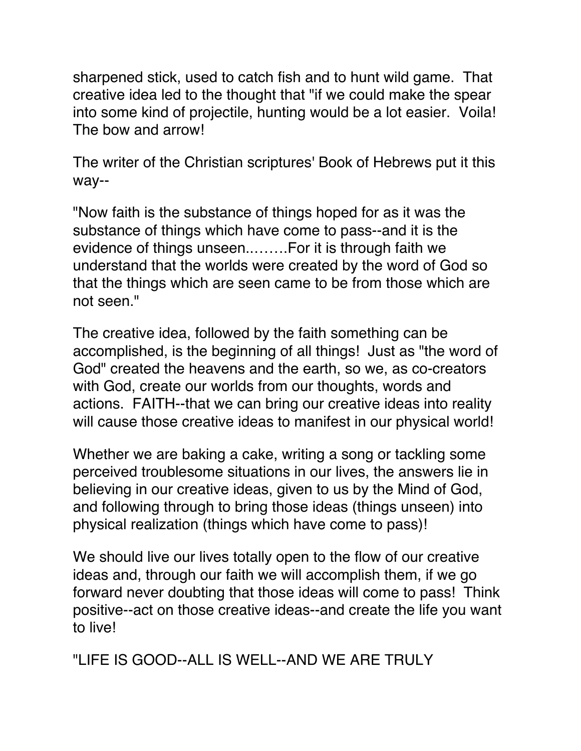sharpened stick, used to catch fish and to hunt wild game. That creative idea led to the thought that "if we could make the spear into some kind of projectile, hunting would be a lot easier. Voila! The bow and arrow!

The writer of the Christian scriptures' Book of Hebrews put it this way--

"Now faith is the substance of things hoped for as it was the substance of things which have come to pass--and it is the evidence of things unseen..…….For it is through faith we understand that the worlds were created by the word of God so that the things which are seen came to be from those which are not seen."

The creative idea, followed by the faith something can be accomplished, is the beginning of all things! Just as "the word of God" created the heavens and the earth, so we, as co-creators with God, create our worlds from our thoughts, words and actions. FAITH--that we can bring our creative ideas into reality will cause those creative ideas to manifest in our physical world!

Whether we are baking a cake, writing a song or tackling some perceived troublesome situations in our lives, the answers lie in believing in our creative ideas, given to us by the Mind of God, and following through to bring those ideas (things unseen) into physical realization (things which have come to pass)!

We should live our lives totally open to the flow of our creative ideas and, through our faith we will accomplish them, if we go forward never doubting that those ideas will come to pass! Think positive--act on those creative ideas--and create the life you want to live!

"LIFE IS GOOD--ALL IS WELL--AND WE ARE TRULY